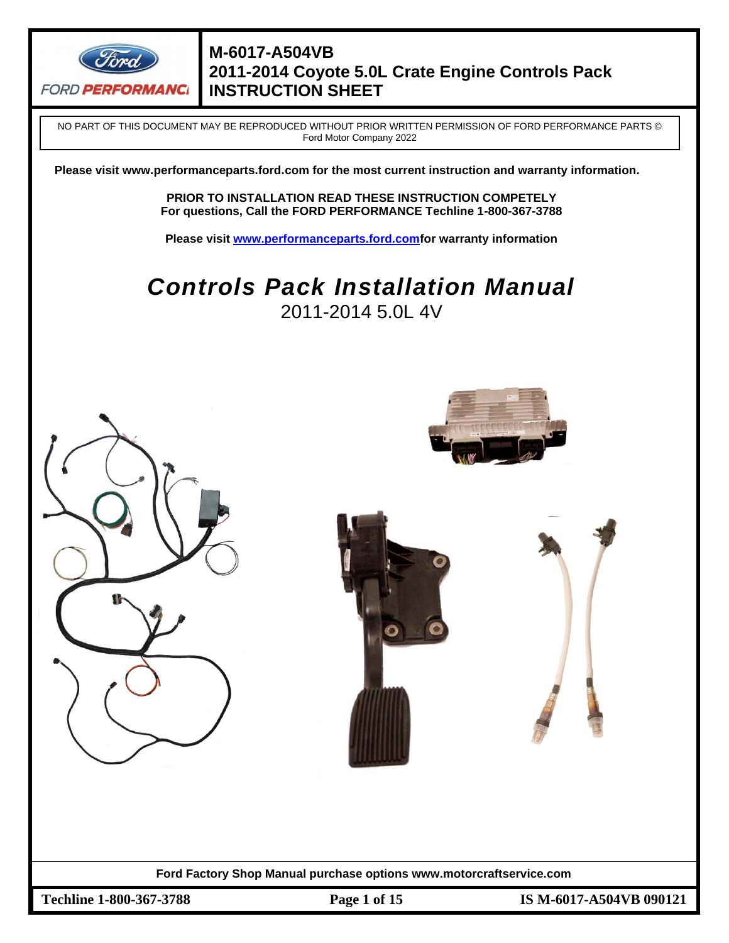

NO PART OF THIS DOCUMENT MAY BE REPRODUCED WITHOUT PRIOR WRITTEN PERMISSION OF FORD PERFORMANCE PARTS © Ford Motor Company 2022

**Please visit www.performanceparts.ford.com for the most current instruction and warranty information.**

**PRIOR TO INSTALLATION READ THESE INSTRUCTION COMPETELY For questions, Call the FORD PERFORMANCE Techline 1-800-367-3788**

**Please visit [www.performanceparts.ford.comf](http://www.performanceparts.ford.com/)or warranty information**

# *Controls Pack Installation Manual*  2011-2014 5.0L 4V

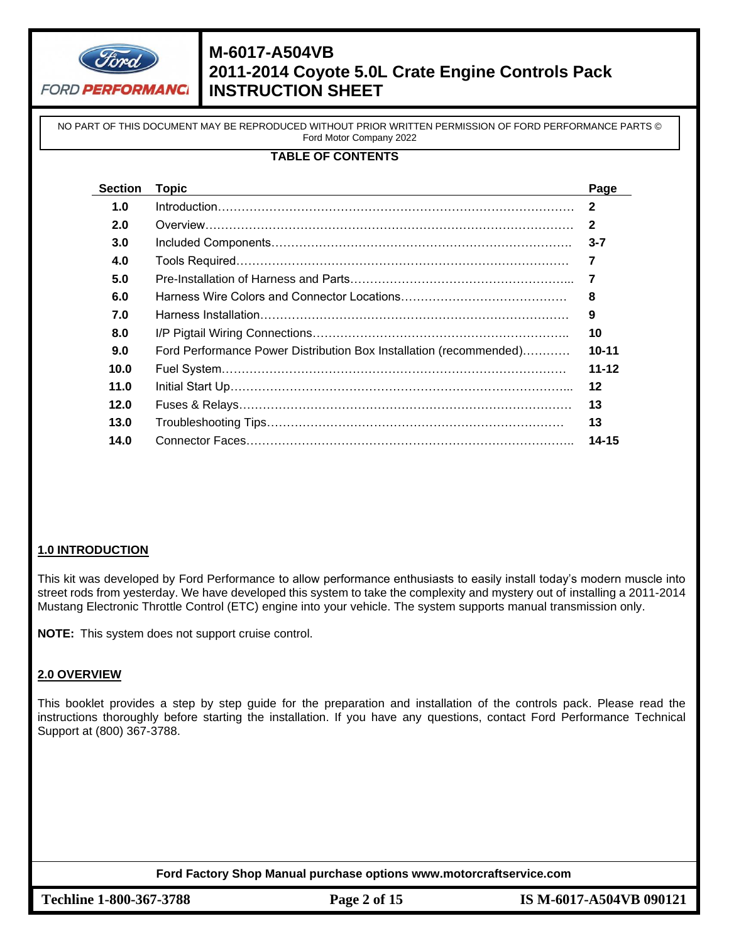

NO PART OF THIS DOCUMENT MAY BE REPRODUCED WITHOUT PRIOR WRITTEN PERMISSION OF FORD PERFORMANCE PARTS © Ford Motor Company 2022

### **TABLE OF CONTENTS**

| Section | <b>Topic</b>                                                       | Page         |
|---------|--------------------------------------------------------------------|--------------|
| 1.0     |                                                                    | $\mathbf{2}$ |
| 2.0     |                                                                    | $\mathbf{2}$ |
| 3.0     |                                                                    | $3 - 7$      |
| 4.0     |                                                                    | 7            |
| 5.0     |                                                                    | 7            |
| 6.0     |                                                                    | 8            |
| 7.0     |                                                                    | 9            |
| 8.0     |                                                                    | 10           |
| 9.0     | Ford Performance Power Distribution Box Installation (recommended) | $10 - 11$    |
| 10.0    |                                                                    | $11 - 12$    |
| 11.0    |                                                                    | $12 \,$      |
| 12.0    |                                                                    | 13           |
| 13.0    |                                                                    | 13           |
| 14.0    |                                                                    | $14 - 15$    |

#### **1.0 INTRODUCTION**

This kit was developed by Ford Performance to allow performance enthusiasts to easily install today's modern muscle into street rods from yesterday. We have developed this system to take the complexity and mystery out of installing a 2011-2014 Mustang Electronic Throttle Control (ETC) engine into your vehicle. The system supports manual transmission only.

**NOTE:** This system does not support cruise control.

#### **2.0 OVERVIEW**

This booklet provides a step by step guide for the preparation and installation of the controls pack. Please read the instructions thoroughly before starting the installation. If you have any questions, contact Ford Performance Technical Support at (800) 367-3788.

**Ford Factory Shop Manual purchase options www.motorcraftservice.com**

**Techline 1-800-367-3788 Page 2 of 15 IS M-6017-A504VB 090121**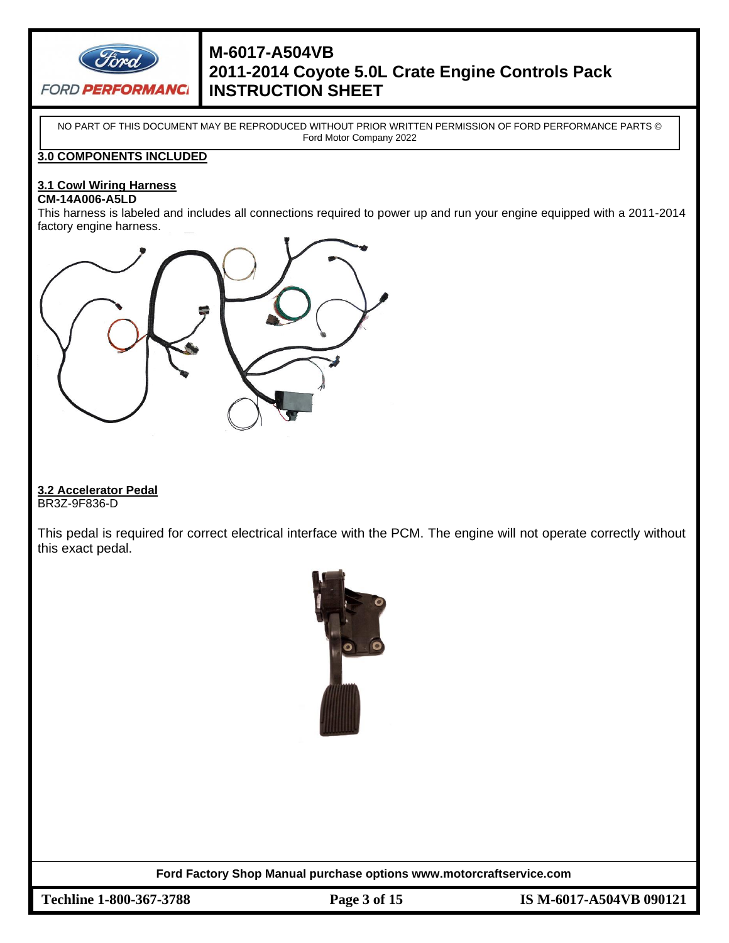

NO PART OF THIS DOCUMENT MAY BE REPRODUCED WITHOUT PRIOR WRITTEN PERMISSION OF FORD PERFORMANCE PARTS © Ford Motor Company 2022

### **3.0 COMPONENTS INCLUDED**

# **3.1 Cowl Wiring Harness**

#### **CM-14A006-A5LD**

This harness is labeled and includes all connections required to power up and run your engine equipped with a 2011-2014 factory engine harness.



### **3.2 Accelerator Pedal**

BR3Z-9F836-D

This pedal is required for correct electrical interface with the PCM. The engine will not operate correctly without this exact pedal.



**Ford Factory Shop Manual purchase options www.motorcraftservice.com**

**Techline 1-800-367-3788 Page 3 of 15 IS M-6017-A504VB 090121**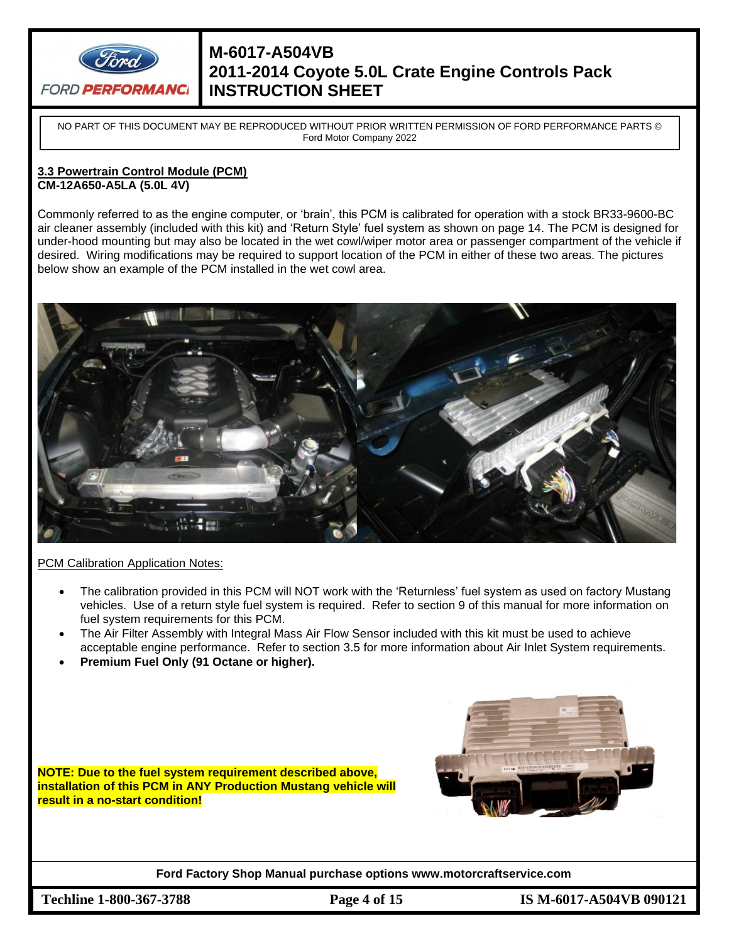

NO PART OF THIS DOCUMENT MAY BE REPRODUCED WITHOUT PRIOR WRITTEN PERMISSION OF FORD PERFORMANCE PARTS © Ford Motor Company 2022

#### **3.3 Powertrain Control Module (PCM) CM-12A650-A5LA (5.0L 4V)**

Commonly referred to as the engine computer, or 'brain', this PCM is calibrated for operation with a stock BR33-9600-BC air cleaner assembly (included with this kit) and 'Return Style' fuel system as shown on page 14. The PCM is designed for under-hood mounting but may also be located in the wet cowl/wiper motor area or passenger compartment of the vehicle if desired. Wiring modifications may be required to support location of the PCM in either of these two areas. The pictures below show an example of the PCM installed in the wet cowl area.



PCM Calibration Application Notes:

- The calibration provided in this PCM will NOT work with the 'Returnless' fuel system as used on factory Mustang vehicles. Use of a return style fuel system is required. Refer to section 9 of this manual for more information on fuel system requirements for this PCM.
- The Air Filter Assembly with Integral Mass Air Flow Sensor included with this kit must be used to achieve acceptable engine performance. Refer to section 3.5 for more information about Air Inlet System requirements.
- **Premium Fuel Only (91 Octane or higher).**

**NOTE: Due to the fuel system requirement described above, installation of this PCM in ANY Production Mustang vehicle will result in a no-start condition!**



**Ford Factory Shop Manual purchase options www.motorcraftservice.com**

**Techline 1-800-367-3788 Page 4 of 15 IS M-6017-A504VB 090121**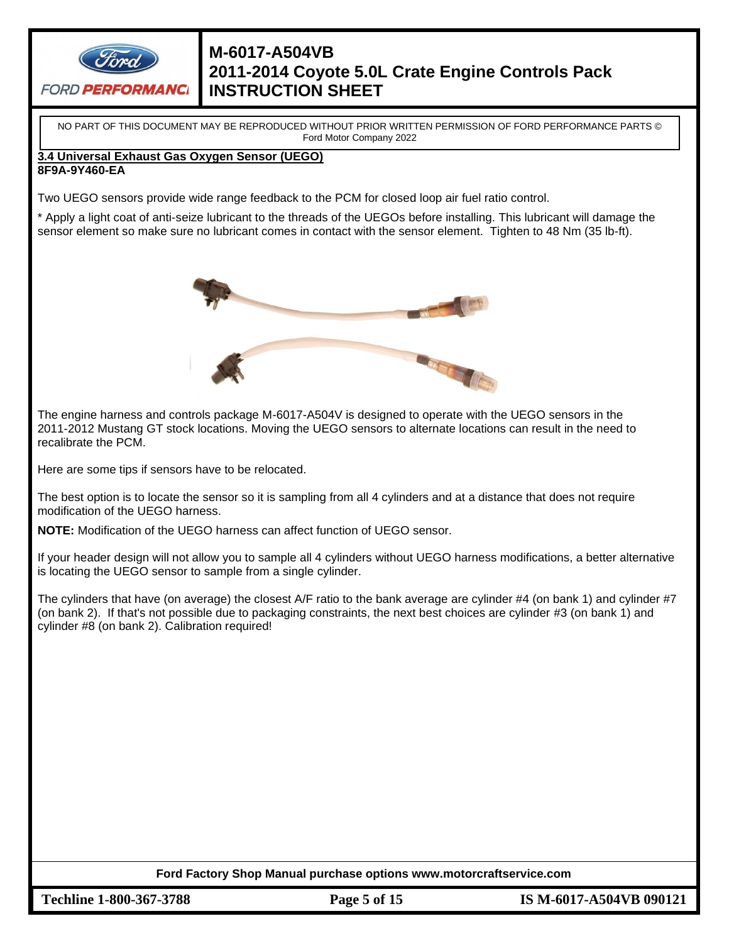

NO PART OF THIS DOCUMENT MAY BE REPRODUCED WITHOUT PRIOR WRITTEN PERMISSION OF FORD PERFORMANCE PARTS © Ford Motor Company 2022

#### **3.4 Universal Exhaust Gas Oxygen Sensor (UEGO) 8F9A-9Y460-EA**

Two UEGO sensors provide wide range feedback to the PCM for closed loop air fuel ratio control.

\* Apply a light coat of anti-seize lubricant to the threads of the UEGOs before installing. This lubricant will damage the sensor element so make sure no lubricant comes in contact with the sensor element. Tighten to 48 Nm (35 lb-ft).



The engine harness and controls package M-6017-A504V is designed to operate with the UEGO sensors in the 2011-2012 Mustang GT stock locations. Moving the UEGO sensors to alternate locations can result in the need to recalibrate the PCM.

Here are some tips if sensors have to be relocated.

The best option is to locate the sensor so it is sampling from all 4 cylinders and at a distance that does not require modification of the UEGO harness.

**NOTE:** Modification of the UEGO harness can affect function of UEGO sensor.

If your header design will not allow you to sample all 4 cylinders without UEGO harness modifications, a better alternative is locating the UEGO sensor to sample from a single cylinder.

The cylinders that have (on average) the closest A/F ratio to the bank average are cylinder #4 (on bank 1) and cylinder #7 (on bank 2). If that's not possible due to packaging constraints, the next best choices are cylinder #3 (on bank 1) and cylinder #8 (on bank 2). Calibration required!

**Ford Factory Shop Manual purchase options www.motorcraftservice.com**

**Techline 1-800-367-3788 Page 5 of 15 IS M-6017-A504VB 090121**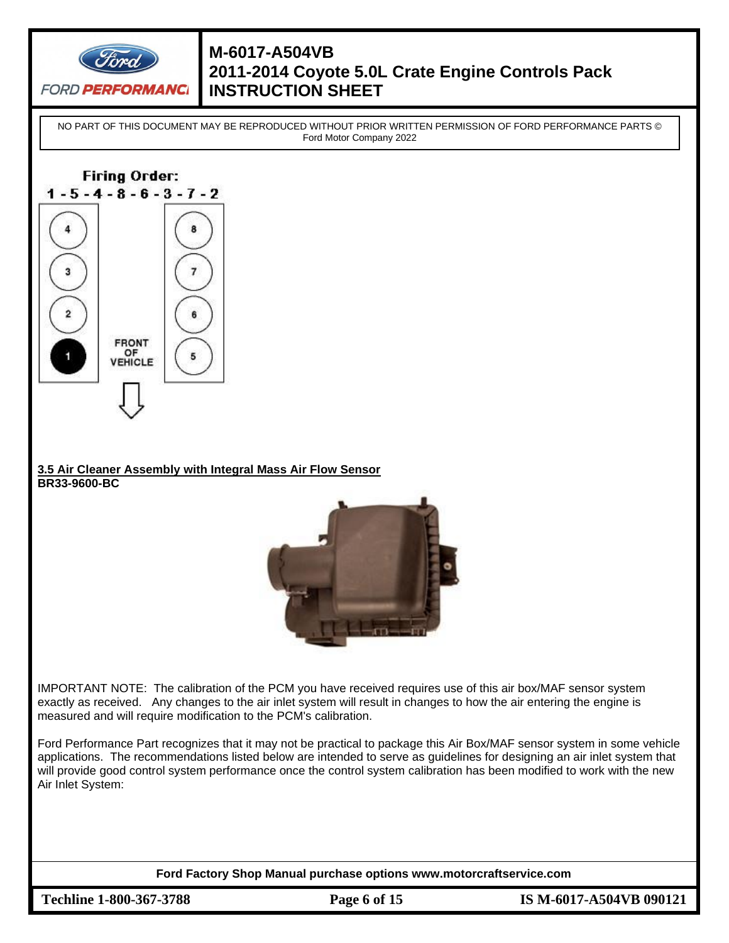

NO PART OF THIS DOCUMENT MAY BE REPRODUCED WITHOUT PRIOR WRITTEN PERMISSION OF FORD PERFORMANCE PARTS © Ford Motor Company 2022



#### **3.5 Air Cleaner Assembly with Integral Mass Air Flow Sensor BR33-9600-BC**



IMPORTANT NOTE: The calibration of the PCM you have received requires use of this air box/MAF sensor system exactly as received. Any changes to the air inlet system will result in changes to how the air entering the engine is measured and will require modification to the PCM's calibration.

Ford Performance Part recognizes that it may not be practical to package this Air Box/MAF sensor system in some vehicle applications. The recommendations listed below are intended to serve as guidelines for designing an air inlet system that will provide good control system performance once the control system calibration has been modified to work with the new Air Inlet System:

**Ford Factory Shop Manual purchase options www.motorcraftservice.com**

**Techline 1-800-367-3788 Page 6 of 15 IS M-6017-A504VB 090121**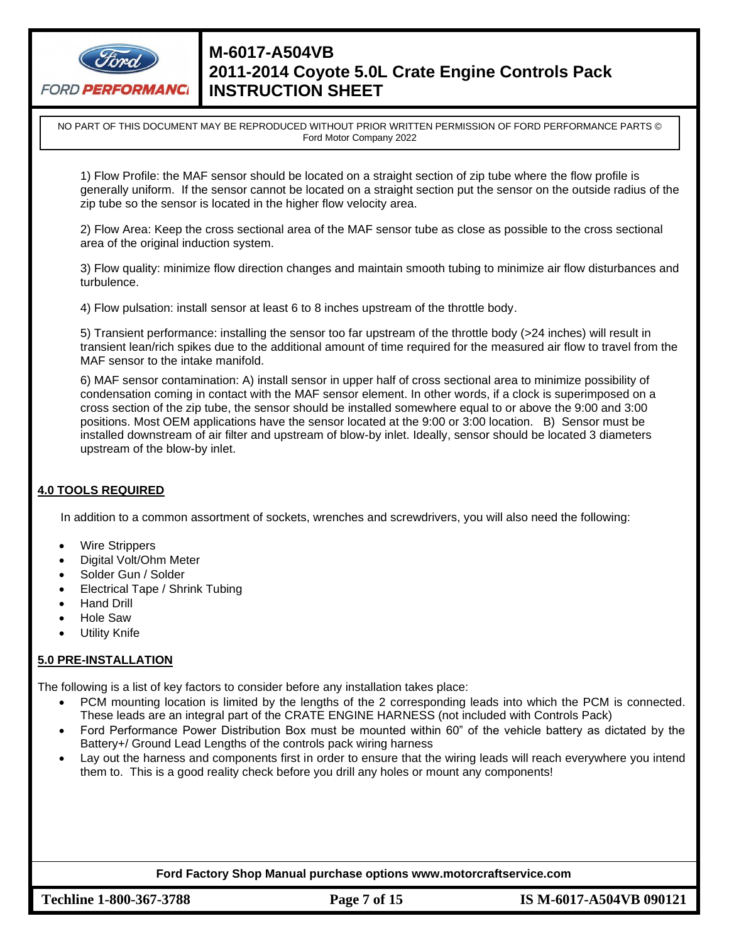

NO PART OF THIS DOCUMENT MAY BE REPRODUCED WITHOUT PRIOR WRITTEN PERMISSION OF FORD PERFORMANCE PARTS © Ford Motor Company 2022

1) Flow Profile: the MAF sensor should be located on a straight section of zip tube where the flow profile is generally uniform. If the sensor cannot be located on a straight section put the sensor on the outside radius of the zip tube so the sensor is located in the higher flow velocity area.

2) Flow Area: Keep the cross sectional area of the MAF sensor tube as close as possible to the cross sectional area of the original induction system.

3) Flow quality: minimize flow direction changes and maintain smooth tubing to minimize air flow disturbances and turbulence.

4) Flow pulsation: install sensor at least 6 to 8 inches upstream of the throttle body.

5) Transient performance: installing the sensor too far upstream of the throttle body (>24 inches) will result in transient lean/rich spikes due to the additional amount of time required for the measured air flow to travel from the MAF sensor to the intake manifold.

6) MAF sensor contamination: A) install sensor in upper half of cross sectional area to minimize possibility of condensation coming in contact with the MAF sensor element. In other words, if a clock is superimposed on a cross section of the zip tube, the sensor should be installed somewhere equal to or above the 9:00 and 3:00 positions. Most OEM applications have the sensor located at the 9:00 or 3:00 location. B) Sensor must be installed downstream of air filter and upstream of blow-by inlet. Ideally, sensor should be located 3 diameters upstream of the blow-by inlet.

### **4.0 TOOLS REQUIRED**

In addition to a common assortment of sockets, wrenches and screwdrivers, you will also need the following:

- Wire Strippers
- Digital Volt/Ohm Meter
- Solder Gun / Solder
- Electrical Tape / Shrink Tubing
- Hand Drill
- Hole Saw
- Utility Knife

### **5.0 PRE-INSTALLATION**

The following is a list of key factors to consider before any installation takes place:

- PCM mounting location is limited by the lengths of the 2 corresponding leads into which the PCM is connected. These leads are an integral part of the CRATE ENGINE HARNESS (not included with Controls Pack)
- Ford Performance Power Distribution Box must be mounted within 60" of the vehicle battery as dictated by the Battery+/ Ground Lead Lengths of the controls pack wiring harness
- Lay out the harness and components first in order to ensure that the wiring leads will reach everywhere you intend them to. This is a good reality check before you drill any holes or mount any components!

#### **Ford Factory Shop Manual purchase options www.motorcraftservice.com**

**Techline 1-800-367-3788 Page 7 of 15 IS M-6017-A504VB 090121**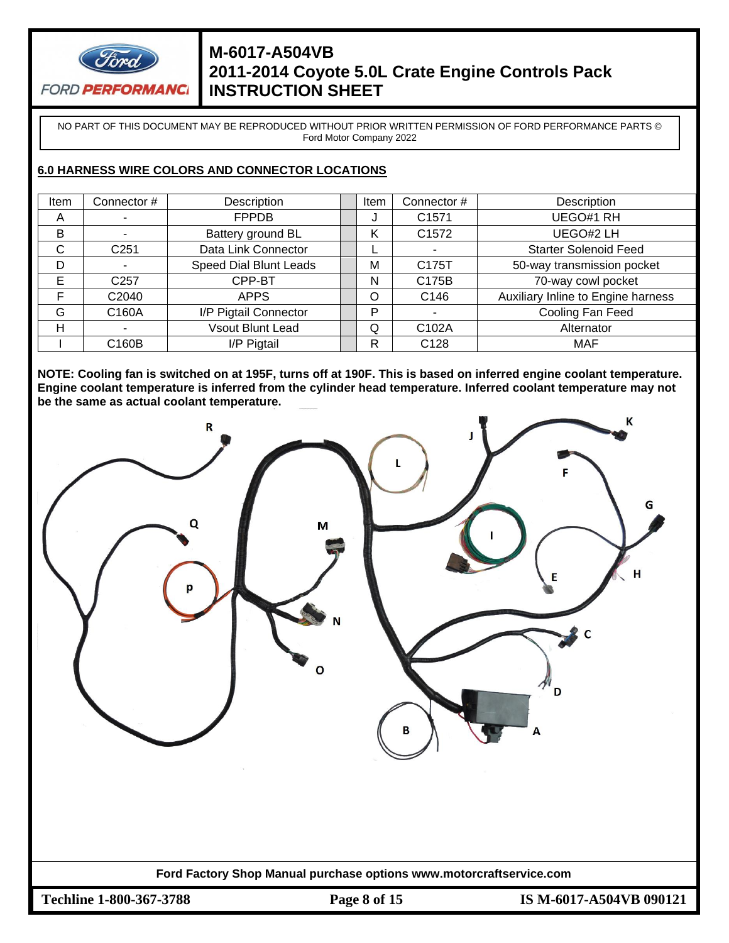

NO PART OF THIS DOCUMENT MAY BE REPRODUCED WITHOUT PRIOR WRITTEN PERMISSION OF FORD PERFORMANCE PARTS © Ford Motor Company 2022

### **6.0 HARNESS WIRE COLORS AND CONNECTOR LOCATIONS**

| Item | Connector #       | Description                   | Item | Connector #        | Description                        |
|------|-------------------|-------------------------------|------|--------------------|------------------------------------|
| A    |                   | <b>FPPDB</b>                  | J    | C <sub>1571</sub>  | UEGO#1 RH                          |
| B    |                   | Battery ground BL             | Κ    | C <sub>1572</sub>  | UEGO#2 LH                          |
| C    | C <sub>251</sub>  | Data Link Connector           |      |                    | <b>Starter Solenoid Feed</b>       |
| D    |                   | <b>Speed Dial Blunt Leads</b> | М    | C175T              | 50-way transmission pocket         |
| Е    | C <sub>257</sub>  | CPP-BT                        | N    | C175B              | 70-way cowl pocket                 |
| F    | C <sub>2040</sub> | <b>APPS</b>                   | O    | C146               | Auxiliary Inline to Engine harness |
| G    | C160A             | I/P Pigtail Connector         | P    |                    | Cooling Fan Feed                   |
| Н    |                   | <b>Vsout Blunt Lead</b>       | Q    | C <sub>102</sub> A | Alternator                         |
|      | C160B             | I/P Pigtail                   | R    | C <sub>128</sub>   | MAF                                |

**NOTE: Cooling fan is switched on at 195F, turns off at 190F. This is based on inferred engine coolant temperature. Engine coolant temperature is inferred from the cylinder head temperature. Inferred coolant temperature may not be the same as actual coolant temperature.**



-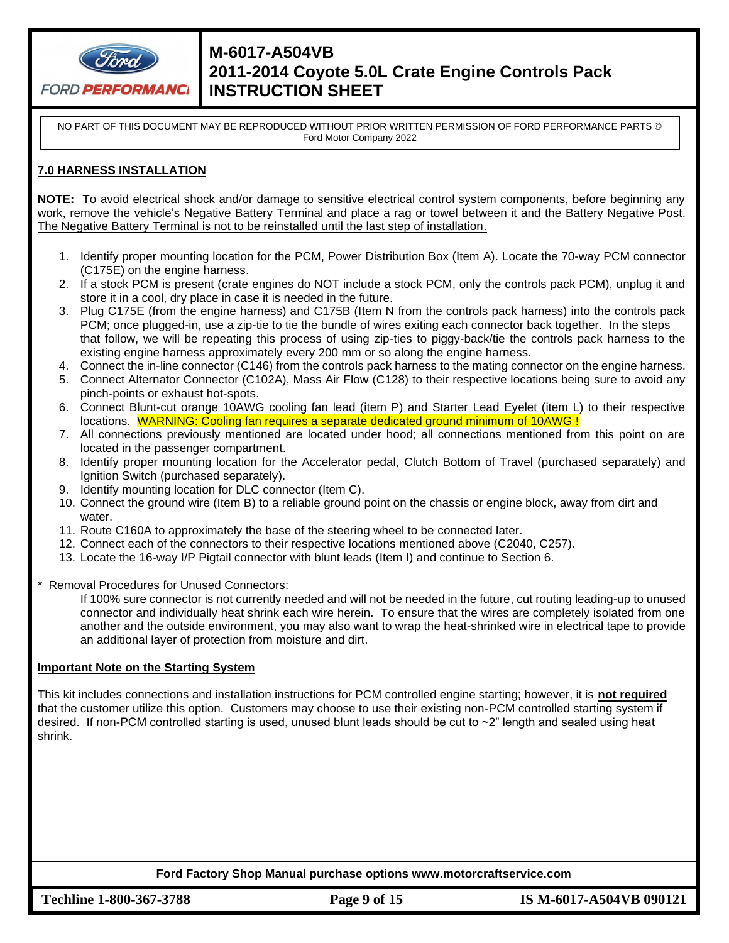

NO PART OF THIS DOCUMENT MAY BE REPRODUCED WITHOUT PRIOR WRITTEN PERMISSION OF FORD PERFORMANCE PARTS © Ford Motor Company 2022

### **7.0 HARNESS INSTALLATION**

**NOTE:** To avoid electrical shock and/or damage to sensitive electrical control system components, before beginning any work, remove the vehicle's Negative Battery Terminal and place a rag or towel between it and the Battery Negative Post. The Negative Battery Terminal is not to be reinstalled until the last step of installation.

- 1. Identify proper mounting location for the PCM, Power Distribution Box (Item A). Locate the 70-way PCM connector (C175E) on the engine harness.
- 2. If a stock PCM is present (crate engines do NOT include a stock PCM, only the controls pack PCM), unplug it and store it in a cool, dry place in case it is needed in the future.
- 3. Plug C175E (from the engine harness) and C175B (Item N from the controls pack harness) into the controls pack PCM; once plugged-in, use a zip-tie to tie the bundle of wires exiting each connector back together. In the steps that follow, we will be repeating this process of using zip-ties to piggy-back/tie the controls pack harness to the existing engine harness approximately every 200 mm or so along the engine harness.
- 4. Connect the in-line connector (C146) from the controls pack harness to the mating connector on the engine harness.
- 5. Connect Alternator Connector (C102A), Mass Air Flow (C128) to their respective locations being sure to avoid any pinch-points or exhaust hot-spots.
- 6. Connect Blunt-cut orange 10AWG cooling fan lead (item P) and Starter Lead Eyelet (item L) to their respective locations. WARNING: Cooling fan requires a separate dedicated ground minimum of 10AWG !
- 7. All connections previously mentioned are located under hood; all connections mentioned from this point on are located in the passenger compartment.
- 8. Identify proper mounting location for the Accelerator pedal, Clutch Bottom of Travel (purchased separately) and Ignition Switch (purchased separately).
- 9. Identify mounting location for DLC connector (Item C).
- 10. Connect the ground wire (Item B) to a reliable ground point on the chassis or engine block, away from dirt and water.
- 11. Route C160A to approximately the base of the steering wheel to be connected later.
- 12. Connect each of the connectors to their respective locations mentioned above (C2040, C257).
- 13. Locate the 16-way I/P Pigtail connector with blunt leads (Item I) and continue to Section 6.
- Removal Procedures for Unused Connectors:

If 100% sure connector is not currently needed and will not be needed in the future, cut routing leading-up to unused connector and individually heat shrink each wire herein. To ensure that the wires are completely isolated from one another and the outside environment, you may also want to wrap the heat-shrinked wire in electrical tape to provide an additional layer of protection from moisture and dirt.

#### **Important Note on the Starting System**

This kit includes connections and installation instructions for PCM controlled engine starting; however, it is **not required** that the customer utilize this option. Customers may choose to use their existing non-PCM controlled starting system if desired. If non-PCM controlled starting is used, unused blunt leads should be cut to ~2" length and sealed using heat shrink.

#### **Ford Factory Shop Manual purchase options www.motorcraftservice.com**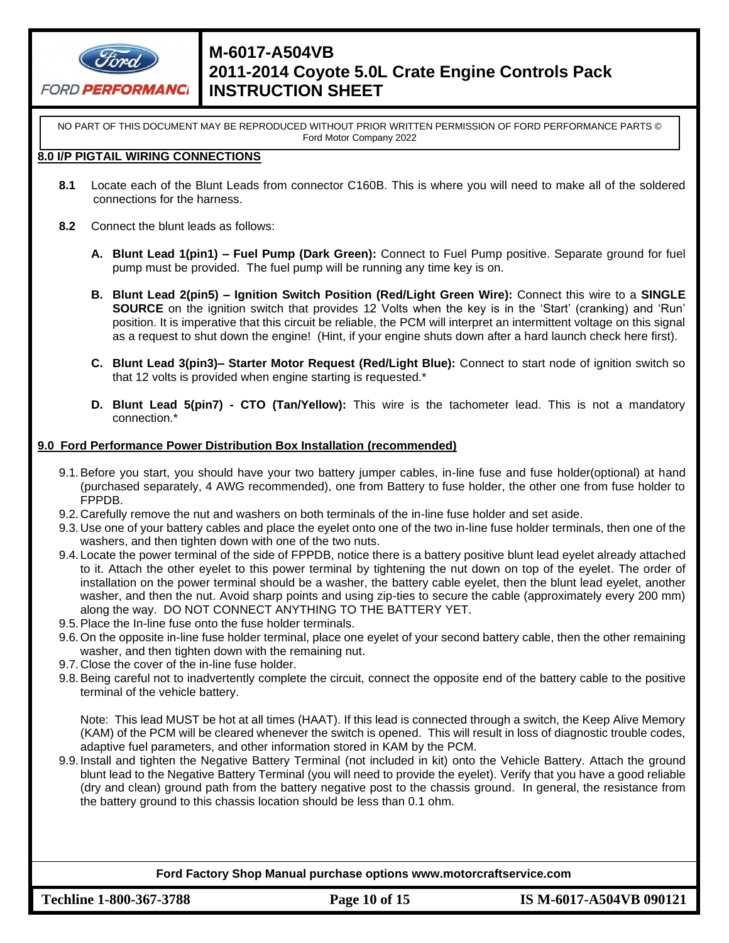

NO PART OF THIS DOCUMENT MAY BE REPRODUCED WITHOUT PRIOR WRITTEN PERMISSION OF FORD PERFORMANCE PARTS © Ford Motor Company 2022

#### **8.0 I/P PIGTAIL WIRING CONNECTIONS**

- **8.1** Locate each of the Blunt Leads from connector C160B. This is where you will need to make all of the soldered connections for the harness.
- **8.2** Connect the blunt leads as follows:
	- **A. Blunt Lead 1(pin1) – Fuel Pump (Dark Green):** Connect to Fuel Pump positive. Separate ground for fuel pump must be provided. The fuel pump will be running any time key is on.
	- **B. Blunt Lead 2(pin5) – Ignition Switch Position (Red/Light Green Wire):** Connect this wire to a **SINGLE SOURCE** on the ignition switch that provides 12 Volts when the key is in the 'Start' (cranking) and 'Run' position. It is imperative that this circuit be reliable, the PCM will interpret an intermittent voltage on this signal as a request to shut down the engine! (Hint, if your engine shuts down after a hard launch check here first).
	- **C. Blunt Lead 3(pin3)– Starter Motor Request (Red/Light Blue):** Connect to start node of ignition switch so that 12 volts is provided when engine starting is requested.\*
	- **D. Blunt Lead 5(pin7) - CTO (Tan/Yellow):** This wire is the tachometer lead. This is not a mandatory connection.\*

#### **9.0 Ford Performance Power Distribution Box Installation (recommended)**

- 9.1.Before you start, you should have your two battery jumper cables, in-line fuse and fuse holder(optional) at hand (purchased separately, 4 AWG recommended), one from Battery to fuse holder, the other one from fuse holder to FPPDB.
- 9.2. Carefully remove the nut and washers on both terminals of the in-line fuse holder and set aside.
- 9.3. Use one of your battery cables and place the eyelet onto one of the two in-line fuse holder terminals, then one of the washers, and then tighten down with one of the two nuts.
- 9.4. Locate the power terminal of the side of FPPDB, notice there is a battery positive blunt lead eyelet already attached to it. Attach the other eyelet to this power terminal by tightening the nut down on top of the eyelet. The order of installation on the power terminal should be a washer, the battery cable eyelet, then the blunt lead eyelet, another washer, and then the nut. Avoid sharp points and using zip-ties to secure the cable (approximately every 200 mm) along the way. DO NOT CONNECT ANYTHING TO THE BATTERY YET.
- 9.5.Place the In-line fuse onto the fuse holder terminals.
- 9.6.On the opposite in-line fuse holder terminal, place one eyelet of your second battery cable, then the other remaining washer, and then tighten down with the remaining nut.
- 9.7. Close the cover of the in-line fuse holder.
- 9.8.Being careful not to inadvertently complete the circuit, connect the opposite end of the battery cable to the positive terminal of the vehicle battery.

Note: This lead MUST be hot at all times (HAAT). If this lead is connected through a switch, the Keep Alive Memory (KAM) of the PCM will be cleared whenever the switch is opened. This will result in loss of diagnostic trouble codes, adaptive fuel parameters, and other information stored in KAM by the PCM.

9.9. Install and tighten the Negative Battery Terminal (not included in kit) onto the Vehicle Battery. Attach the ground blunt lead to the Negative Battery Terminal (you will need to provide the eyelet). Verify that you have a good reliable (dry and clean) ground path from the battery negative post to the chassis ground. In general, the resistance from the battery ground to this chassis location should be less than 0.1 ohm.

**Ford Factory Shop Manual purchase options www.motorcraftservice.com**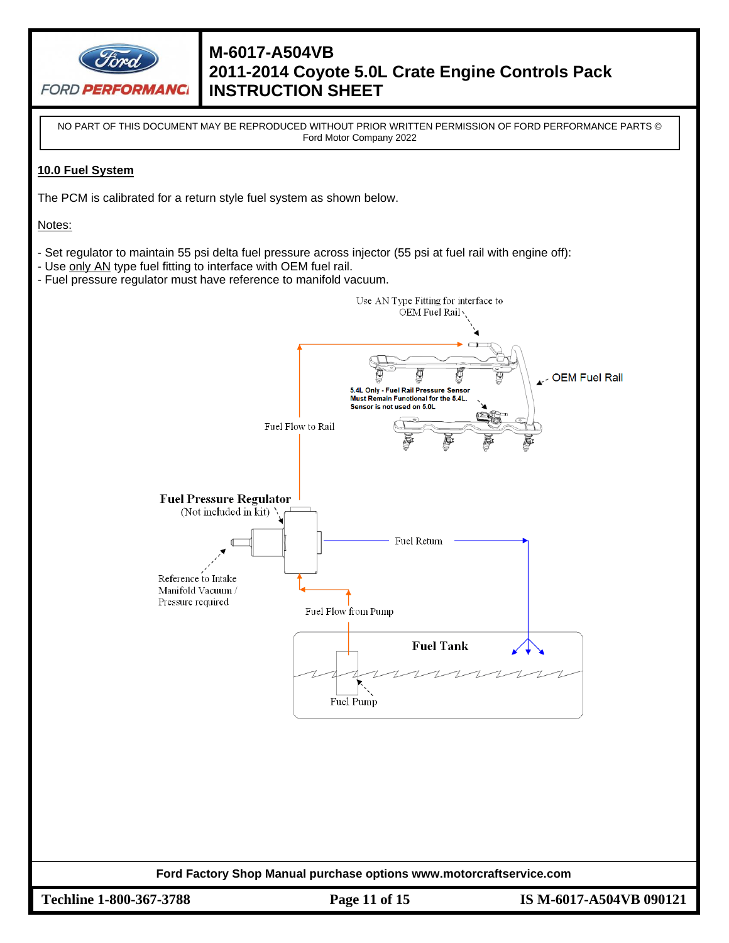

NO PART OF THIS DOCUMENT MAY BE REPRODUCED WITHOUT PRIOR WRITTEN PERMISSION OF FORD PERFORMANCE PARTS © Ford Motor Company 2022

### **10.0 Fuel System**

The PCM is calibrated for a return style fuel system as shown below.

Notes:

- Set regulator to maintain 55 psi delta fuel pressure across injector (55 psi at fuel rail with engine off):
- Use only AN type fuel fitting to interface with OEM fuel rail.
- Fuel pressure regulator must have reference to manifold vacuum.



**Techline 1-800-367-3788 Page 11 of 15 IS M-6017-A504VB 090121**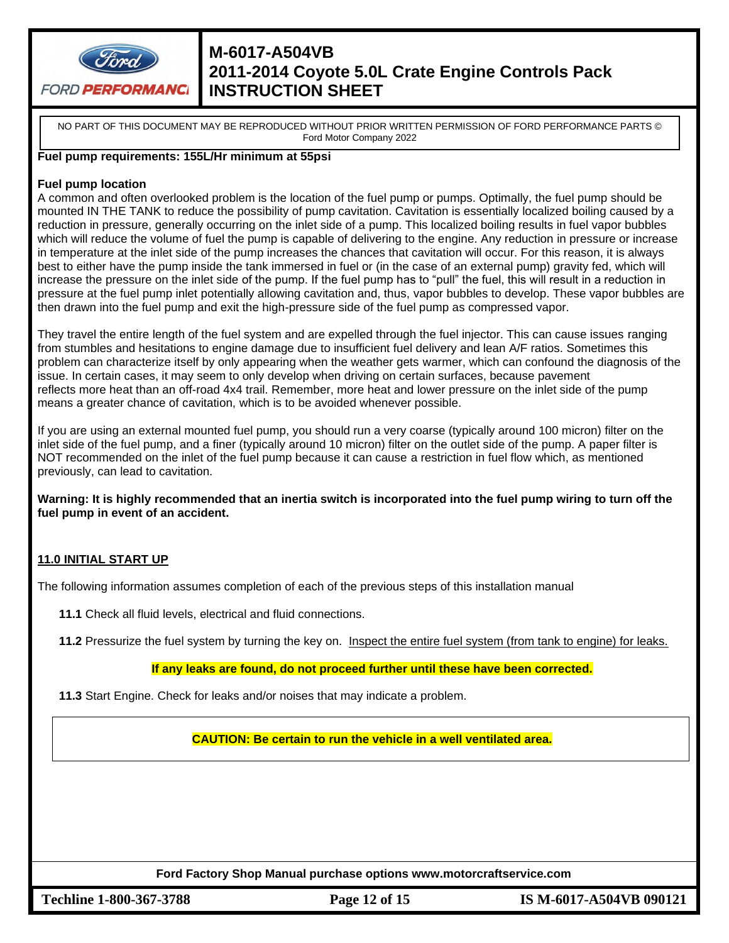

NO PART OF THIS DOCUMENT MAY BE REPRODUCED WITHOUT PRIOR WRITTEN PERMISSION OF FORD PERFORMANCE PARTS © Ford Motor Company 2022

### **Fuel pump requirements: 155L/Hr minimum at 55psi**

#### **Fuel pump location**

A common and often overlooked problem is the location of the fuel pump or pumps. Optimally, the fuel pump should be mounted IN THE TANK to reduce the possibility of pump cavitation. Cavitation is essentially localized boiling caused by a reduction in pressure, generally occurring on the inlet side of a pump. This localized boiling results in fuel vapor bubbles which will reduce the volume of fuel the pump is capable of delivering to the engine. Any reduction in pressure or increase in temperature at the inlet side of the pump increases the chances that cavitation will occur. For this reason, it is always best to either have the pump inside the tank immersed in fuel or (in the case of an external pump) gravity fed, which will increase the pressure on the inlet side of the pump. If the fuel pump has to "pull" the fuel, this will result in a reduction in pressure at the fuel pump inlet potentially allowing cavitation and, thus, vapor bubbles to develop. These vapor bubbles are then drawn into the fuel pump and exit the high-pressure side of the fuel pump as compressed vapor.

They travel the entire length of the fuel system and are expelled through the fuel injector. This can cause issues ranging from stumbles and hesitations to engine damage due to insufficient fuel delivery and lean A/F ratios. Sometimes this problem can characterize itself by only appearing when the weather gets warmer, which can confound the diagnosis of the issue. In certain cases, it may seem to only develop when driving on certain surfaces, because pavement reflects more heat than an off-road 4x4 trail. Remember, more heat and lower pressure on the inlet side of the pump means a greater chance of cavitation, which is to be avoided whenever possible.

If you are using an external mounted fuel pump, you should run a very coarse (typically around 100 micron) filter on the inlet side of the fuel pump, and a finer (typically around 10 micron) filter on the outlet side of the pump. A paper filter is NOT recommended on the inlet of the fuel pump because it can cause a restriction in fuel flow which, as mentioned previously, can lead to cavitation.

**Warning: It is highly recommended that an inertia switch is incorporated into the fuel pump wiring to turn off the fuel pump in event of an accident.**

### **11.0 INITIAL START UP**

The following information assumes completion of each of the previous steps of this installation manual

**11.1** Check all fluid levels, electrical and fluid connections.

**11.2** Pressurize the fuel system by turning the key on. Inspect the entire fuel system (from tank to engine) for leaks.

#### **If any leaks are found, do not proceed further until these have been corrected.**

**11.3** Start Engine. Check for leaks and/or noises that may indicate a problem.

**CAUTION: Be certain to run the vehicle in a well ventilated area.**

**Ford Factory Shop Manual purchase options www.motorcraftservice.com**

**Techline 1-800-367-3788 Page 12 of 15 IS M-6017-A504VB 090121**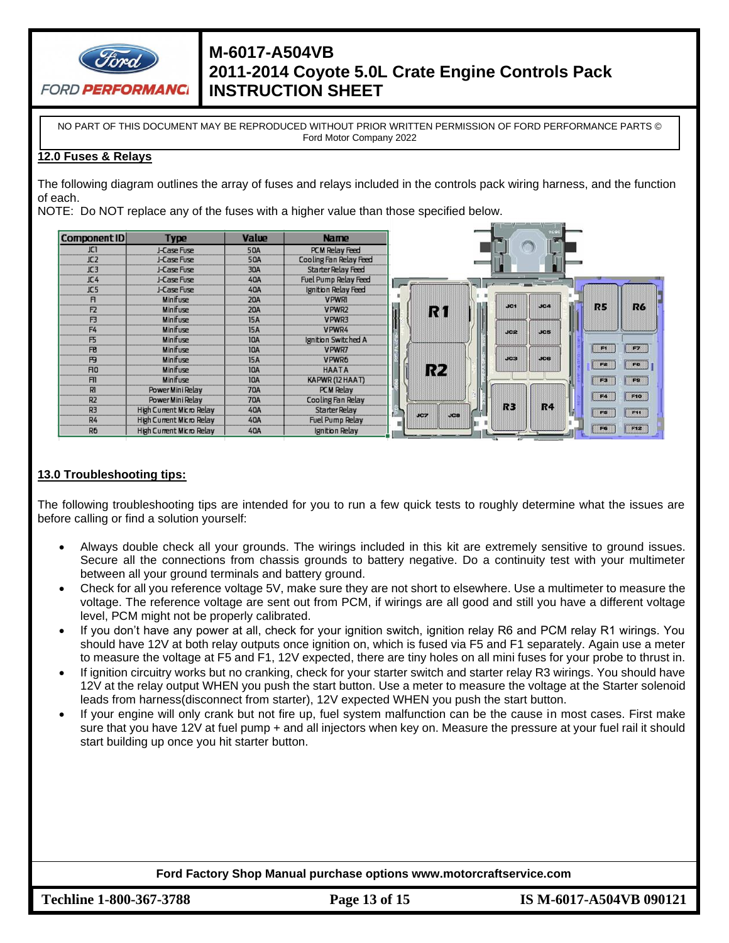

NO PART OF THIS DOCUMENT MAY BE REPRODUCED WITHOUT PRIOR WRITTEN PERMISSION OF FORD PERFORMANCE PARTS © Ford Motor Company 2022

#### **12.0 Fuses & Relays**

The following diagram outlines the array of fuses and relays included in the controls pack wiring harness, and the function of each.

NOTE: Do NOT replace any of the fuses with a higher value than those specified below.



### **13.0 Troubleshooting tips:**

The following troubleshooting tips are intended for you to run a few quick tests to roughly determine what the issues are before calling or find a solution yourself:

- Always double check all your grounds. The wirings included in this kit are extremely sensitive to ground issues. Secure all the connections from chassis grounds to battery negative. Do a continuity test with your multimeter between all your ground terminals and battery ground.
- Check for all you reference voltage 5V, make sure they are not short to elsewhere. Use a multimeter to measure the voltage. The reference voltage are sent out from PCM, if wirings are all good and still you have a different voltage level, PCM might not be properly calibrated.
- If you don't have any power at all, check for your ignition switch, ignition relay R6 and PCM relay R1 wirings. You should have 12V at both relay outputs once ignition on, which is fused via F5 and F1 separately. Again use a meter to measure the voltage at F5 and F1, 12V expected, there are tiny holes on all mini fuses for your probe to thrust in.
- If ignition circuitry works but no cranking, check for your starter switch and starter relay R3 wirings. You should have 12V at the relay output WHEN you push the start button. Use a meter to measure the voltage at the Starter solenoid leads from harness(disconnect from starter), 12V expected WHEN you push the start button.
- If your engine will only crank but not fire up, fuel system malfunction can be the cause in most cases. First make sure that you have 12V at fuel pump + and all injectors when key on. Measure the pressure at your fuel rail it should start building up once you hit starter button.

**Ford Factory Shop Manual purchase options www.motorcraftservice.com**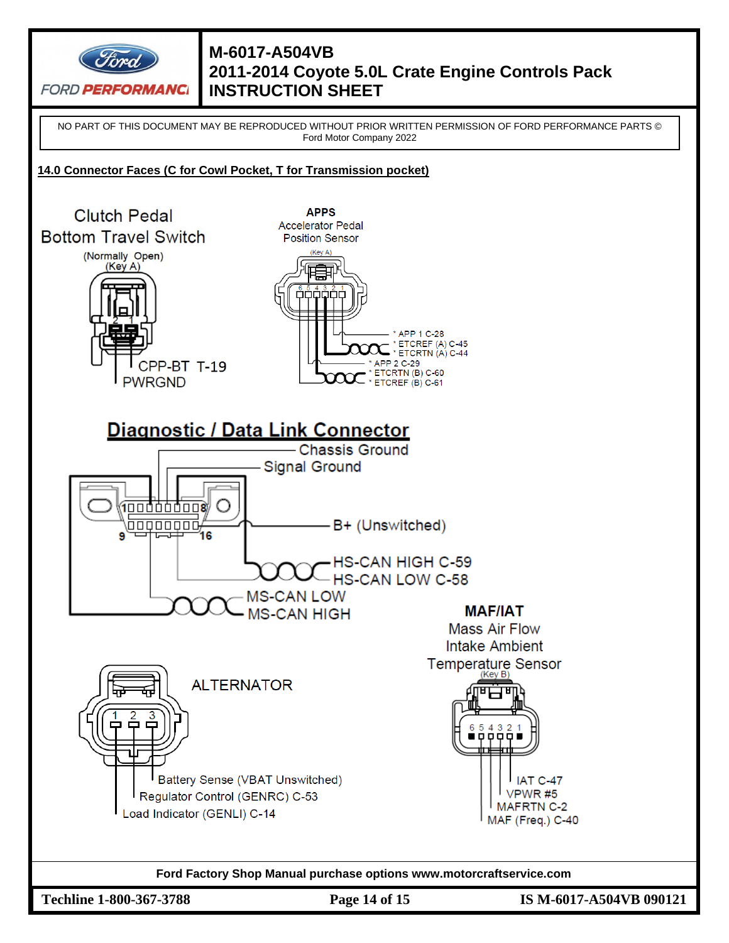

NO PART OF THIS DOCUMENT MAY BE REPRODUCED WITHOUT PRIOR WRITTEN PERMISSION OF FORD PERFORMANCE PARTS © Ford Motor Company 2022